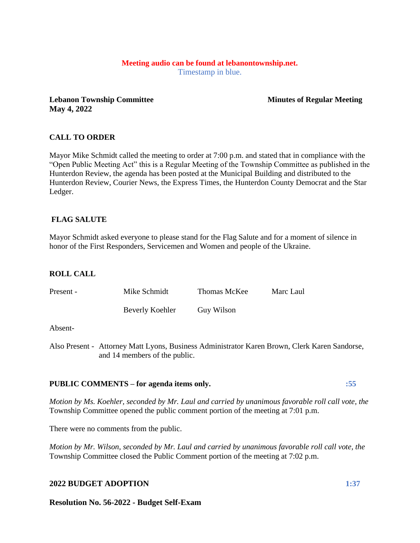# **Meeting audio can be found at lebanontownship.net.**

Timestamp in blue.

**Lebanon Township Committee Minutes of Regular Meeting May 4, 2022**

## **CALL TO ORDER**

Mayor Mike Schmidt called the meeting to order at 7:00 p.m. and stated that in compliance with the "Open Public Meeting Act" this is a Regular Meeting of the Township Committee as published in the Hunterdon Review, the agenda has been posted at the Municipal Building and distributed to the Hunterdon Review, Courier News, the Express Times, the Hunterdon County Democrat and the Star Ledger.

### **FLAG SALUTE**

Mayor Schmidt asked everyone to please stand for the Flag Salute and for a moment of silence in honor of the First Responders, Servicemen and Women and people of the Ukraine.

## **ROLL CALL**

| Present - | Mike Schmidt    | Thomas McKee | Marc Laul |
|-----------|-----------------|--------------|-----------|
|           | Beverly Koehler | Guy Wilson   |           |

#### Absent-

Also Present - Attorney Matt Lyons, Business Administrator Karen Brown, Clerk Karen Sandorse, and 14 members of the public.

#### **PUBLIC COMMENTS – for agenda items only. :55**

*Motion by Ms. Koehler, seconded by Mr. Laul and carried by unanimous favorable roll call vote, the* Township Committee opened the public comment portion of the meeting at 7:01 p.m.

There were no comments from the public.

*Motion by Mr. Wilson, seconded by Mr. Laul and carried by unanimous favorable roll call vote, the* Township Committee closed the Public Comment portion of the meeting at 7:02 p.m.

#### **2022 BUDGET ADOPTION 1:37**

**Resolution No. 56-2022 - Budget Self-Exam**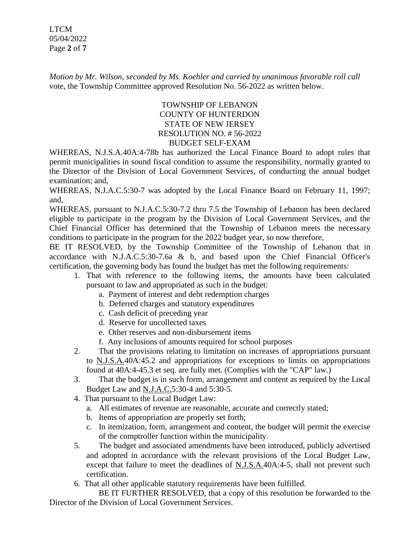LTCM 05/04/2022 Page **2** of **7**

*Motion by Mr. Wilson, seconded by Ms. Koehler and carried by unanimous favorable roll call*  vote, the Township Committee approved Resolution No. 56-2022 as written below.

## TOWNSHIP OF LEBANON COUNTY OF HUNTERDON STATE OF NEW JERSEY RESOLUTION NO. # 56-2022 BUDGET SELF-EXAM

WHEREAS, N.J.S.A.40A:4-78b has authorized the Local Finance Board to adopt rules that permit municipalities in sound fiscal condition to assume the responsibility, normally granted to the Director of the Division of Local Government Services, of conducting the annual budget examination; and,

WHEREAS, N.J.A.C.5:30-7 was adopted by the Local Finance Board on February 11, 1997; and,

WHEREAS, pursuant to N.J.A.C.5:30-7.2 thru 7.5 the Township of Lebanon has been declared eligible to participate in the program by the Division of Local Government Services, and the Chief Financial Officer has determined that the Township of Lebanon meets the necessary conditions to participate in the program for the 2022 budget year, so now therefore,

BE IT RESOLVED, by the Township Committee of the Township of Lebanon that in accordance with N.J.A.C.5:30-7.6a & b, and based upon the Chief Financial Officer's certification, the governing body has found the budget has met the following requirements:

- 1. That with reference to the following items, the amounts have been calculated pursuant to law and appropriated as such in the budget:
	- a. Payment of interest and debt redemption charges
	- b. Deferred charges and statutory expenditures
	- c. Cash deficit of preceding year
	- d. Reserve for uncollected taxes
	- e. Other reserves and non-disbursement items
	- f. Any inclusions of amounts required for school purposes
- 2. That the provisions relating to limitation on increases of appropriations pursuant to N.J.S.A.40A:45.2 and appropriations for exceptions to limits on appropriations found at 40A:4-45.3 et seq. are fully met. (Complies with the "CAP" law.)
- 3. That the budget is in such form, arrangement and content as required by the Local Budget Law and N.J.A.C.5:30-4 and 5:30-5.
- 4. That pursuant to the Local Budget Law:
	- a. All estimates of revenue are reasonable, accurate and correctly stated;
	- b. Items of appropriation are properly set forth;
	- c. In itemization, form, arrangement and content, the budget will permit the exercise of the comptroller function within the municipality.
- 5. The budget and associated amendments have been introduced, publicly advertised and adopted in accordance with the relevant provisions of the Local Budget Law, except that failure to meet the deadlines of N.J.S.A.40A:4-5, shall not prevent such certification.
- 6. That all other applicable statutory requirements have been fulfilled.

BE IT FURTHER RESOLVED, that a copy of this resolution be forwarded to the Director of the Division of Local Government Services.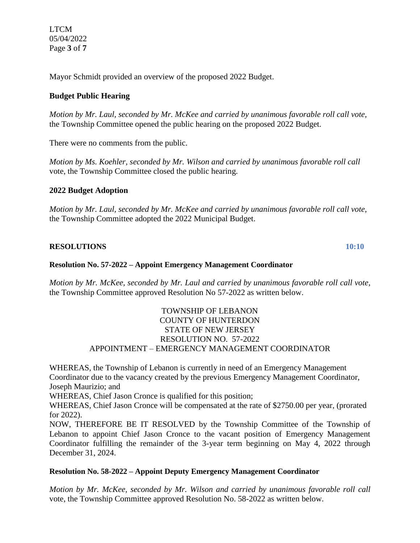LTCM 05/04/2022 Page **3** of **7**

Mayor Schmidt provided an overview of the proposed 2022 Budget.

## **Budget Public Hearing**

*Motion by Mr. Laul, seconded by Mr. McKee and carried by unanimous favorable roll call vote,* the Township Committee opened the public hearing on the proposed 2022 Budget.

There were no comments from the public.

*Motion by Ms. Koehler, seconded by Mr. Wilson and carried by unanimous favorable roll call*  vote, the Township Committee closed the public hearing.

#### **2022 Budget Adoption**

*Motion by Mr. Laul, seconded by Mr. McKee and carried by unanimous favorable roll call vote,* the Township Committee adopted the 2022 Municipal Budget.

#### **RESOLUTIONS 10:10**

#### **Resolution No. 57-2022 – Appoint Emergency Management Coordinator**

*Motion by Mr. McKee, seconded by Mr. Laul and carried by unanimous favorable roll call vote,* the Township Committee approved Resolution No 57-2022 as written below.

#### TOWNSHIP OF LEBANON COUNTY OF HUNTERDON STATE OF NEW JERSEY RESOLUTION NO. 57-2022 APPOINTMENT – EMERGENCY MANAGEMENT COORDINATOR

WHEREAS, the Township of Lebanon is currently in need of an Emergency Management Coordinator due to the vacancy created by the previous Emergency Management Coordinator, Joseph Maurizio; and

WHEREAS, Chief Jason Cronce is qualified for this position;

WHEREAS, Chief Jason Cronce will be compensated at the rate of \$2750.00 per year, (prorated for 2022).

NOW, THEREFORE BE IT RESOLVED by the Township Committee of the Township of Lebanon to appoint Chief Jason Cronce to the vacant position of Emergency Management Coordinator fulfilling the remainder of the 3-year term beginning on May 4, 2022 through December 31, 2024.

#### **Resolution No. 58-2022 – Appoint Deputy Emergency Management Coordinator**

*Motion by Mr. McKee, seconded by Mr. Wilson and carried by unanimous favorable roll call* vote, the Township Committee approved Resolution No. 58-2022 as written below.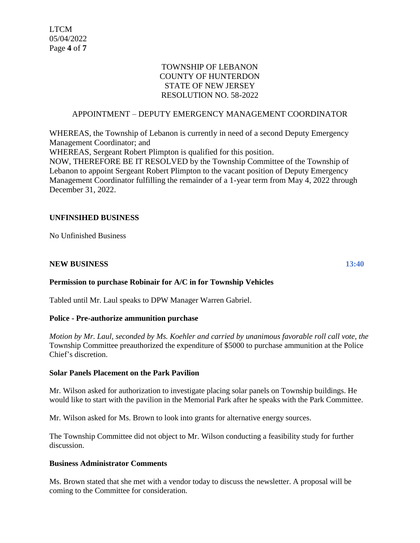### TOWNSHIP OF LEBANON COUNTY OF HUNTERDON STATE OF NEW JERSEY RESOLUTION NO. 58-2022

### APPOINTMENT – DEPUTY EMERGENCY MANAGEMENT COORDINATOR

WHEREAS, the Township of Lebanon is currently in need of a second Deputy Emergency Management Coordinator; and

WHEREAS, Sergeant Robert Plimpton is qualified for this position.

NOW, THEREFORE BE IT RESOLVED by the Township Committee of the Township of Lebanon to appoint Sergeant Robert Plimpton to the vacant position of Deputy Emergency Management Coordinator fulfilling the remainder of a 1-year term from May 4, 2022 through December 31, 2022.

### **UNFINSIHED BUSINESS**

No Unfinished Business

#### **NEW BUSINESS 13:40**

#### **Permission to purchase Robinair for A/C in for Township Vehicles**

Tabled until Mr. Laul speaks to DPW Manager Warren Gabriel.

#### **Police - Pre-authorize ammunition purchase**

*Motion by Mr. Laul, seconded by Ms. Koehler and carried by unanimous favorable roll call vote, the* Township Committee preauthorized the expenditure of \$5000 to purchase ammunition at the Police Chief's discretion.

#### **Solar Panels Placement on the Park Pavilion**

Mr. Wilson asked for authorization to investigate placing solar panels on Township buildings. He would like to start with the pavilion in the Memorial Park after he speaks with the Park Committee.

Mr. Wilson asked for Ms. Brown to look into grants for alternative energy sources.

The Township Committee did not object to Mr. Wilson conducting a feasibility study for further discussion.

#### **Business Administrator Comments**

Ms. Brown stated that she met with a vendor today to discuss the newsletter. A proposal will be coming to the Committee for consideration.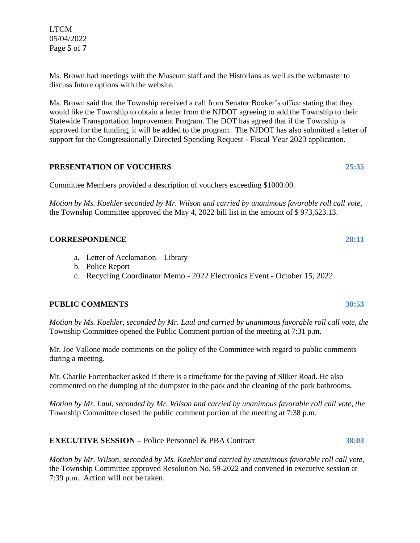Ms. Brown had meetings with the Museum staff and the Historians as well as the webmaster to discuss future options with the website*.* 

Ms. Brown said that the Township received a call from Senator Booker's office stating that they would like the Township to obtain a letter from the NJDOT agreeing to add the Township to their Statewide Transportation Improvement Program. The DOT has agreed that if the Township is approved for the funding, it will be added to the program. The NJDOT has also submitted a letter of support for the Congressionally Directed Spending Request - Fiscal Year 2023 application.

### **PRESENTATION OF VOUCHERS 25:35**

Committee Members provided a description of vouchers exceeding \$1000.00.

*Motion by Ms. Koehler seconded by Mr. Wilson and carried by unanimous favorable roll call vote,* the Township Committee approved the May 4, 2022 bill list in the amount of \$ 973,623.13.

### **CORRESPONDENCE 28:11**

- a. Letter of Acclamation Library
- b. Police Report
- c. Recycling Coordinator Memo 2022 Electronics Event October 15, 2022

#### **PUBLIC COMMENTS 30:53**

*Motion by Ms. Koehler, seconded by Mr. Laul and carried by unanimous favorable roll call vote, the* Township Committee opened the Public Comment portion of the meeting at 7:31 p.m.

Mr. Joe Vallone made comments on the policy of the Committee with regard to public comments during a meeting.

Mr. Charlie Fortenbacker asked if there is a timeframe for the paving of Sliker Road. He also commented on the dumping of the dumpster in the park and the cleaning of the park bathrooms.

*Motion by Mr. Laul, seconded by Mr. Wilson and carried by unanimous favorable roll call vote, the* Township Committee closed the public comment portion of the meeting at 7:38 p.m.

## **EXECUTIVE SESSION –** Police Personnel & PBA Contract **38:03**

*Motion by Mr. Wilson, seconded by Ms. Koehler and carried by unanimous favorable roll call vote,*  the Township Committee approved Resolution No. 59-2022 and convened in executive session at 7:39 p.m. Action will not be taken.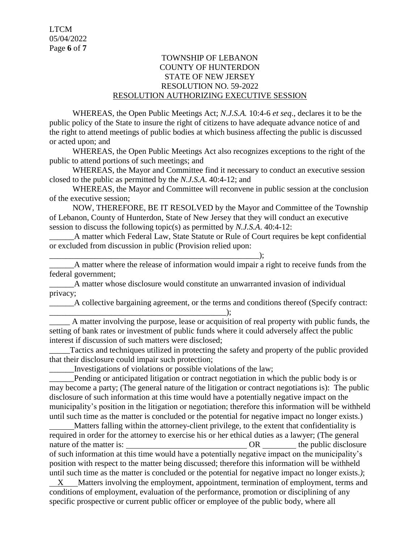#### TOWNSHIP OF LEBANON COUNTY OF HUNTERDON STATE OF NEW JERSEY RESOLUTION NO. 59-2022 RESOLUTION AUTHORIZING EXECUTIVE SESSION

WHEREAS, the Open Public Meetings Act; *N.J.S.A.* 10:4-6 *et seq*., declares it to be the public policy of the State to insure the right of citizens to have adequate advance notice of and the right to attend meetings of public bodies at which business affecting the public is discussed or acted upon; and

WHEREAS, the Open Public Meetings Act also recognizes exceptions to the right of the public to attend portions of such meetings; and

WHEREAS, the Mayor and Committee find it necessary to conduct an executive session closed to the public as permitted by the *N.J.S.A*. 40:4-12; and

WHEREAS, the Mayor and Committee will reconvene in public session at the conclusion of the executive session;

NOW, THEREFORE, BE IT RESOLVED by the Mayor and Committee of the Township of Lebanon, County of Hunterdon, State of New Jersey that they will conduct an executive session to discuss the following topic(s) as permitted by *N.J.S.A*. 40:4-12:

A matter which Federal Law, State Statute or Rule of Court requires be kept confidential or excluded from discussion in public (Provision relied upon:

\_\_\_\_\_\_\_\_\_\_\_\_\_\_\_\_\_\_\_\_\_\_\_\_\_\_\_\_\_\_\_\_\_\_\_\_\_\_\_\_\_\_\_\_\_\_\_\_\_\_\_); A matter where the release of information would impair a right to receive funds from the federal government;

\_\_\_\_\_\_A matter whose disclosure would constitute an unwarranted invasion of individual privacy;

\_\_\_\_\_\_A collective bargaining agreement, or the terms and conditions thereof (Specify contract:

\_\_\_\_\_\_\_\_\_\_\_\_\_\_\_\_\_\_\_\_\_\_\_\_\_\_\_\_\_\_\_\_\_\_\_\_\_\_\_\_\_\_\_); A matter involving the purpose, lease or acquisition of real property with public funds, the setting of bank rates or investment of public funds where it could adversely affect the public interest if discussion of such matters were disclosed;

Tactics and techniques utilized in protecting the safety and property of the public provided that their disclosure could impair such protection;

\_\_\_\_\_\_Investigations of violations or possible violations of the law;

Pending or anticipated litigation or contract negotiation in which the public body is or may become a party; (The general nature of the litigation or contract negotiations is): The public disclosure of such information at this time would have a potentially negative impact on the municipality's position in the litigation or negotiation; therefore this information will be withheld until such time as the matter is concluded or the potential for negative impact no longer exists.)

 Matters falling within the attorney-client privilege, to the extent that confidentiality is required in order for the attorney to exercise his or her ethical duties as a lawyer; (The general nature of the matter is:  $OR$  the public disclosure of such information at this time would have a potentially negative impact on the municipality's position with respect to the matter being discussed; therefore this information will be withheld until such time as the matter is concluded or the potential for negative impact no longer exists.*)*;

 X Matters involving the employment, appointment, termination of employment, terms and conditions of employment, evaluation of the performance, promotion or disciplining of any specific prospective or current public officer or employee of the public body, where all